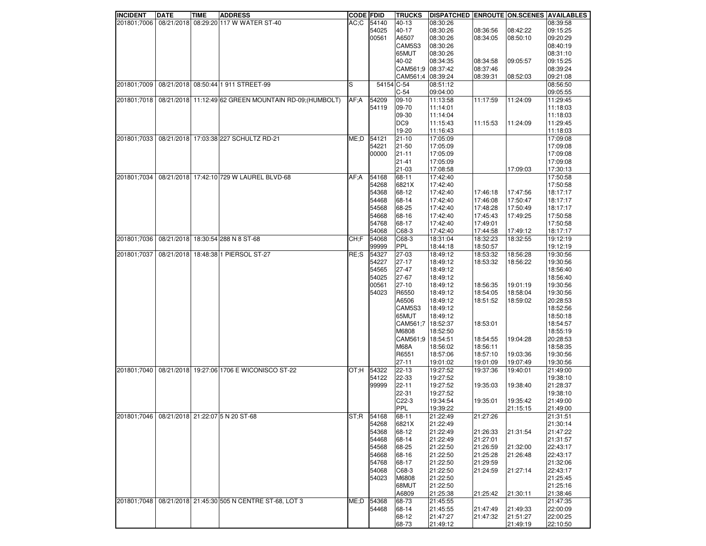| <b>INCIDENT</b> | <b>DATE</b> | <b>TIME</b> | <b>ADDRESS</b>                                         | <b>CODE FDID</b> |            | <b>TRUCKS</b>     | DISPATCHED ENROUTE ON SCENES AVAILABLES |          |          |          |
|-----------------|-------------|-------------|--------------------------------------------------------|------------------|------------|-------------------|-----------------------------------------|----------|----------|----------|
| 201801;7006     |             |             | 08/21/2018 08:29:20 117 W WATER ST-40                  | AC:C             | 54140      | 40-13             | 08:30:26                                |          |          | 08:39:58 |
|                 |             |             |                                                        |                  | 54025      | 40-17             | 08:30:26                                | 08:36:56 | 08:42:22 | 09:15:25 |
|                 |             |             |                                                        |                  | 00561      | A6507             | 08:30:26                                | 08:34:05 | 08:50:10 | 09:20:29 |
|                 |             |             |                                                        |                  |            | CAM5S3            | 08:30:26                                |          |          | 08:40:19 |
|                 |             |             |                                                        |                  |            | 65MUT             | 08:30:26                                |          |          | 08:31:10 |
|                 |             |             |                                                        |                  |            | 40-02             | 08:34:35                                | 08:34:58 | 09:05:57 | 09:15:25 |
|                 |             |             |                                                        |                  |            | CAM561:9          | 08:37:42                                | 08:37:46 |          | 08:39:24 |
|                 |             |             |                                                        |                  |            | CAM561;4 08:39:24 |                                         | 08:39:31 | 08:52:03 | 09:21:08 |
| 201801;7009     |             |             | 08/21/2018 08:50:44 1 911 STREET-99                    | ls               | 54154 C-54 |                   | 08:51:12                                |          |          | 08:56:50 |
|                 |             |             |                                                        |                  |            | $C-54$            | 09:04:00                                |          |          | 09:05:55 |
| 201801;7018     |             |             | 08/21/2018 11:12:49 62 GREEN MOUNTAIN RD-09; (HUMBOLT) | AF;A             | 54209      | $09-10$           | 11:13:58                                | 11:17:59 | 11:24:09 | 11:29:45 |
|                 |             |             |                                                        |                  | 54119      | 09-70             | 11:14:01                                |          |          | 11:18:03 |
|                 |             |             |                                                        |                  |            | 09-30             |                                         |          |          |          |
|                 |             |             |                                                        |                  |            |                   | 11:14:04                                |          |          | 11:18:03 |
|                 |             |             |                                                        |                  |            | DC <sub>9</sub>   | 11:15:43                                | 11:15:53 | 11:24:09 | 11:29:45 |
|                 |             |             |                                                        |                  |            | 19-20             | 11:16:43                                |          |          | 11:18:03 |
| 201801;7033     |             |             | 08/21/2018 17:03:38 227 SCHULTZ RD-21                  | ME;D             | 54121      | 21-10             | 17:05:09                                |          |          | 17:09:08 |
|                 |             |             |                                                        |                  | 54221      | $21 - 50$         | 17:05:09                                |          |          | 17:09:08 |
|                 |             |             |                                                        |                  | 00000      | 21-11             | 17:05:09                                |          |          | 17:09:08 |
|                 |             |             |                                                        |                  |            | $21 - 41$         | 17:05:09                                |          |          | 17:09:08 |
|                 |             |             |                                                        |                  |            | $21 - 03$         | 17:08:58                                |          | 17:09:03 | 17:30:13 |
| 201801;7034     |             |             | 08/21/2018 17:42:10 729 W LAUREL BLVD-68               | AF:A             | 54168      | 68-11             | 17:42:40                                |          |          | 17:50:58 |
|                 |             |             |                                                        |                  | 54268      | 6821X             | 17:42:40                                |          |          | 17:50:58 |
|                 |             |             |                                                        |                  | 54368      | 68-12             | 17:42:40                                | 17:46:18 | 17:47:56 | 18:17:17 |
|                 |             |             |                                                        |                  | 54468      | 68-14             | 17:42:40                                | 17:46:08 | 17:50:47 | 18:17:17 |
|                 |             |             |                                                        |                  | 54568      | 68-25             | 17:42:40                                | 17:48:28 | 17:50:49 | 18:17:17 |
|                 |             |             |                                                        |                  | 54668      | 68-16             | 17:42:40                                | 17:45:43 | 17:49:25 | 17:50:58 |
|                 |             |             |                                                        |                  | 54768      | 68-17             | 17:42:40                                | 17:49:01 |          | 17:50:58 |
|                 |             |             |                                                        |                  | 54068      | C68-3             | 17:42:40                                | 17:44:58 | 17:49:12 | 18:17:17 |
| 201801;7036     |             |             | 08/21/2018 18:30:54 288 N 8 ST-68                      | CH:F             | 54068      | C68-3             | 18:31:04                                | 18:32:23 | 18:32:55 | 19:12:19 |
|                 |             |             |                                                        |                  | 99999      | PPL               | 18:44:18                                | 18:50:57 |          | 19:12:19 |
| 201801;7037     |             |             | 08/21/2018 18:48:38 1 PIERSOL ST-27                    | RE;S             | 54327      | 27-03             | 18:49:12                                | 18:53:32 | 18:56:28 | 19:30:56 |
|                 |             |             |                                                        |                  | 54227      | $27 - 17$         | 18:49:12                                | 18:53:32 | 18:56:22 | 19:30:56 |
|                 |             |             |                                                        |                  | 54565      | 27-47             | 18:49:12                                |          |          | 18:56:40 |
|                 |             |             |                                                        |                  | 54025      | 27-67             |                                         |          |          | 18:56:40 |
|                 |             |             |                                                        |                  |            |                   | 18:49:12                                |          |          | 19:30:56 |
|                 |             |             |                                                        |                  | 00561      | $27-10$           | 18:49:12                                | 18:56:35 | 19:01:19 |          |
|                 |             |             |                                                        |                  | 54023      | R6550             | 18:49:12                                | 18:54:05 | 18:58:04 | 19:30:56 |
|                 |             |             |                                                        |                  |            | A6506             | 18:49:12                                | 18:51:52 | 18:59:02 | 20:28:53 |
|                 |             |             |                                                        |                  |            | CAM5S3            | 18:49:12                                |          |          | 18:52:56 |
|                 |             |             |                                                        |                  |            | 65MUT             | 18:49:12                                |          |          | 18:50:18 |
|                 |             |             |                                                        |                  |            | CAM561;7          | 18:52:37                                | 18:53:01 |          | 18:54:57 |
|                 |             |             |                                                        |                  |            | M6808             | 18:52:50                                |          |          | 18:55:19 |
|                 |             |             |                                                        |                  |            | CAM561;9          | 18:54:51                                | 18:54:55 | 19:04:28 | 20:28:53 |
|                 |             |             |                                                        |                  |            | <b>M68A</b>       | 18:56:02                                | 18:56:11 |          | 18:58:35 |
|                 |             |             |                                                        |                  |            | R6551             | 18:57:06                                | 18:57:10 | 19:03:36 | 19:30:56 |
|                 |             |             |                                                        |                  |            | $27 - 11$         | 19:01:02                                | 19:01:09 | 19:07:49 | 19:30:56 |
| 201801;7040     |             |             | 08/21/2018 19:27:06 1706 E WICONISCO ST-22             | lOT:H            | 54322      | $22 - 13$         | 19:27:52                                | 19:37:36 | 19:40:01 | 21:49:00 |
|                 |             |             |                                                        |                  | 54122      | 22-33             | 19:27:52                                |          |          | 19:38:10 |
|                 |             |             |                                                        |                  | 99999      | $22 - 11$         | 19:27:52                                | 19:35:03 | 19:38:40 | 21:28:37 |
|                 |             |             |                                                        |                  |            | 22-31             | 19:27:52                                |          |          | 19:38:10 |
|                 |             |             |                                                        |                  |            | $C22-3$           | 19:34:54                                | 19:35:01 | 19:35:42 | 21:49:00 |
|                 |             |             |                                                        |                  |            | PPL               | 19:39:22                                |          | 21:15:15 | 21:49:00 |
| 201801;7046     |             |             | 08/21/2018 21:22:07 5 N 20 ST-68                       | ST;R             | 54168      | 68-11             | 21:22:49                                | 21:27:26 |          | 21:31:51 |
|                 |             |             |                                                        |                  | 54268      | 6821X             | 21:22:49                                |          |          | 21:30:14 |
|                 |             |             |                                                        |                  | 54368      | 68-12             | 21:22:49                                | 21:26:33 | 21:31:54 | 21:47:22 |
|                 |             |             |                                                        |                  | 54468      | 68-14             | 21:22:49                                | 21:27:01 |          | 21:31:57 |
|                 |             |             |                                                        |                  | 54568      | 68-25             | 21:22:50                                | 21:26:59 | 21:32:00 | 22:43:17 |
|                 |             |             |                                                        |                  | 54668      | 68-16             | 21:22:50                                | 21:25:28 | 21:26:48 | 22:43:17 |
|                 |             |             |                                                        |                  |            |                   |                                         |          |          |          |
|                 |             |             |                                                        |                  | 54768      | 68-17             | 21:22:50                                | 21:29:59 |          | 21:32:06 |
|                 |             |             |                                                        |                  | 54068      | C68-3             | 21:22:50                                | 21:24:59 | 21:27:14 | 22:43:17 |
|                 |             |             |                                                        |                  | 54023      | M6808             | 21:22:50                                |          |          | 21:25:45 |
|                 |             |             |                                                        |                  |            | 68MUT             | 21:22:50                                |          |          | 21:25:16 |
|                 |             |             |                                                        |                  |            | A6809             | 21:25:38                                | 21:25:42 | 21:30:11 | 21:38:46 |
| 201801;7048     |             |             | 08/21/2018 21:45:30 505 N CENTRE ST-68, LOT 3          | ME;D             | 54368      | 68-73             | 21:45:55                                |          |          | 21:47:35 |
|                 |             |             |                                                        |                  | 54468      | 68-14             | 21:45:55                                | 21:47:49 | 21:49:33 | 22:00:09 |
|                 |             |             |                                                        |                  |            | 68-12             | 21:47:27                                | 21:47:32 | 21:51:27 | 22:00:25 |
|                 |             |             |                                                        |                  |            | 68-73             | 21:49:12                                |          | 21:49:19 | 22:10:50 |